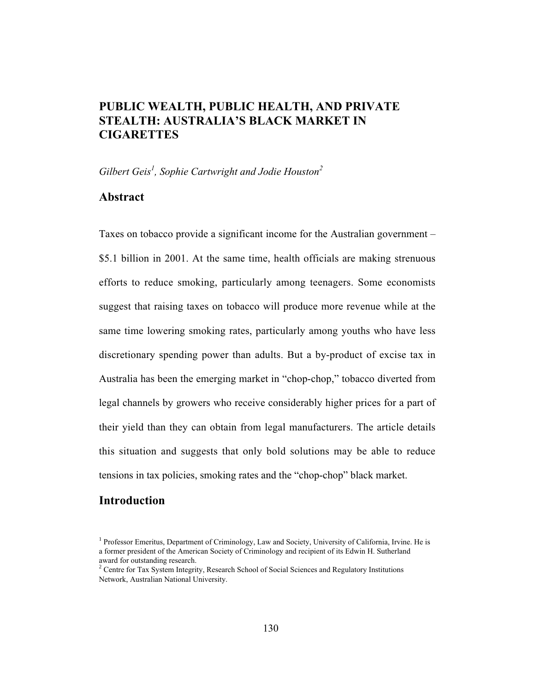# **PUBLIC WEALTH, PUBLIC HEALTH, AND PRIVATE STEALTH: AUSTRALIA'S BLACK MARKET IN CIGARETTES**

*Gilbert Geis<sup>1</sup> , Sophie Cartwright and Jodie Houston2*

## **Abstract**

Taxes on tobacco provide a significant income for the Australian government – \$5.1 billion in 2001. At the same time, health officials are making strenuous efforts to reduce smoking, particularly among teenagers. Some economists suggest that raising taxes on tobacco will produce more revenue while at the same time lowering smoking rates, particularly among youths who have less discretionary spending power than adults. But a by-product of excise tax in Australia has been the emerging market in "chop-chop," tobacco diverted from legal channels by growers who receive considerably higher prices for a part of their yield than they can obtain from legal manufacturers. The article details this situation and suggests that only bold solutions may be able to reduce tensions in tax policies, smoking rates and the "chop-chop" black market.

## **Introduction**

<sup>&</sup>lt;sup>1</sup> Professor Emeritus, Department of Criminology, Law and Society, University of California, Irvine. He is a former president of the American Society of Criminology and recipient of its Edwin H. Sutherland award for outstanding research.

<sup>&</sup>lt;sup>2</sup> Centre for Tax System Integrity, Research School of Social Sciences and Regulatory Institutions Network, Australian National University.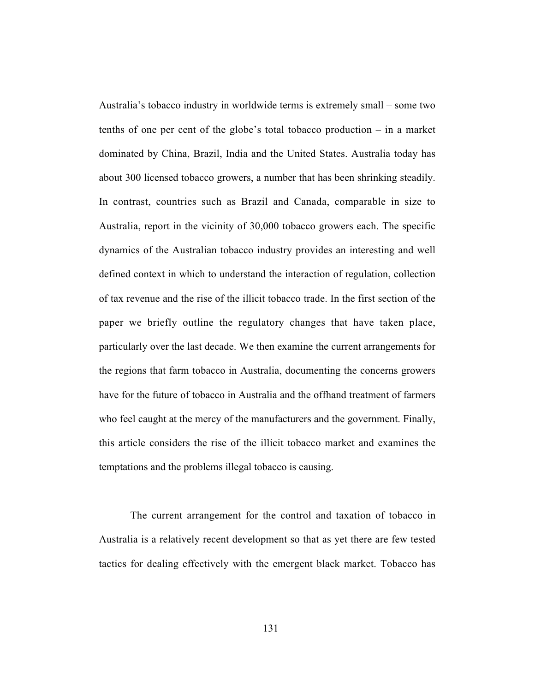Australia's tobacco industry in worldwide terms is extremely small – some two tenths of one per cent of the globe's total tobacco production – in a market dominated by China, Brazil, India and the United States. Australia today has about 300 licensed tobacco growers, a number that has been shrinking steadily. In contrast, countries such as Brazil and Canada, comparable in size to Australia, report in the vicinity of 30,000 tobacco growers each. The specific dynamics of the Australian tobacco industry provides an interesting and well defined context in which to understand the interaction of regulation, collection of tax revenue and the rise of the illicit tobacco trade. In the first section of the paper we briefly outline the regulatory changes that have taken place, particularly over the last decade. We then examine the current arrangements for the regions that farm tobacco in Australia, documenting the concerns growers have for the future of tobacco in Australia and the offhand treatment of farmers who feel caught at the mercy of the manufacturers and the government. Finally, this article considers the rise of the illicit tobacco market and examines the temptations and the problems illegal tobacco is causing.

The current arrangement for the control and taxation of tobacco in Australia is a relatively recent development so that as yet there are few tested tactics for dealing effectively with the emergent black market. Tobacco has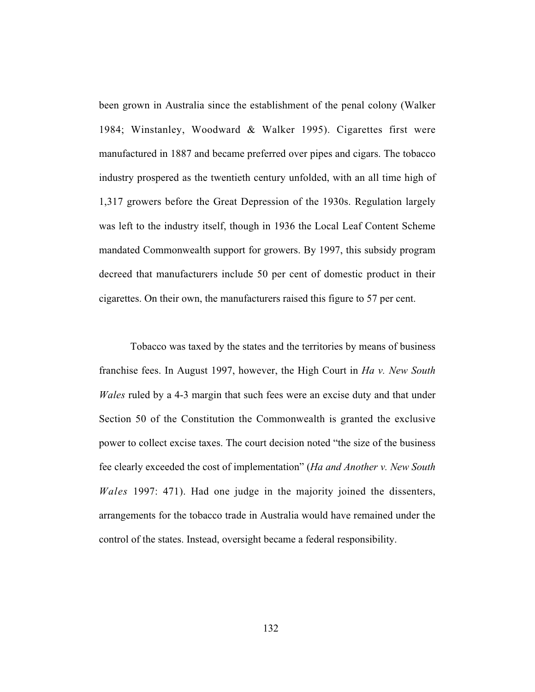been grown in Australia since the establishment of the penal colony (Walker 1984; Winstanley, Woodward & Walker 1995). Cigarettes first were manufactured in 1887 and became preferred over pipes and cigars. The tobacco industry prospered as the twentieth century unfolded, with an all time high of 1,317 growers before the Great Depression of the 1930s. Regulation largely was left to the industry itself, though in 1936 the Local Leaf Content Scheme mandated Commonwealth support for growers. By 1997, this subsidy program decreed that manufacturers include 50 per cent of domestic product in their cigarettes. On their own, the manufacturers raised this figure to 57 per cent.

Tobacco was taxed by the states and the territories by means of business franchise fees. In August 1997, however, the High Court in *Ha v. New South Wales* ruled by a 4-3 margin that such fees were an excise duty and that under Section 50 of the Constitution the Commonwealth is granted the exclusive power to collect excise taxes. The court decision noted "the size of the business fee clearly exceeded the cost of implementation" (*Ha and Another v. New South Wales* 1997: 471). Had one judge in the majority joined the dissenters, arrangements for the tobacco trade in Australia would have remained under the control of the states. Instead, oversight became a federal responsibility.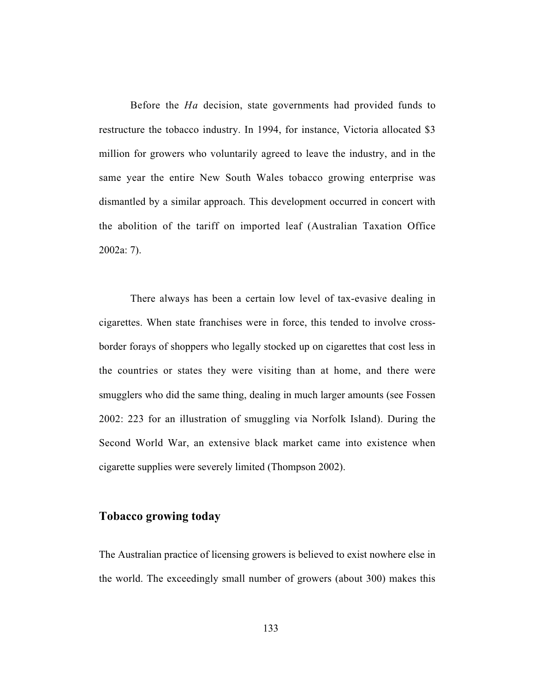Before the *Ha* decision, state governments had provided funds to restructure the tobacco industry. In 1994, for instance, Victoria allocated \$3 million for growers who voluntarily agreed to leave the industry, and in the same year the entire New South Wales tobacco growing enterprise was dismantled by a similar approach. This development occurred in concert with the abolition of the tariff on imported leaf (Australian Taxation Office 2002a: 7).

There always has been a certain low level of tax-evasive dealing in cigarettes. When state franchises were in force, this tended to involve crossborder forays of shoppers who legally stocked up on cigarettes that cost less in the countries or states they were visiting than at home, and there were smugglers who did the same thing, dealing in much larger amounts (see Fossen 2002: 223 for an illustration of smuggling via Norfolk Island). During the Second World War, an extensive black market came into existence when cigarette supplies were severely limited (Thompson 2002).

## **Tobacco growing today**

The Australian practice of licensing growers is believed to exist nowhere else in the world. The exceedingly small number of growers (about 300) makes this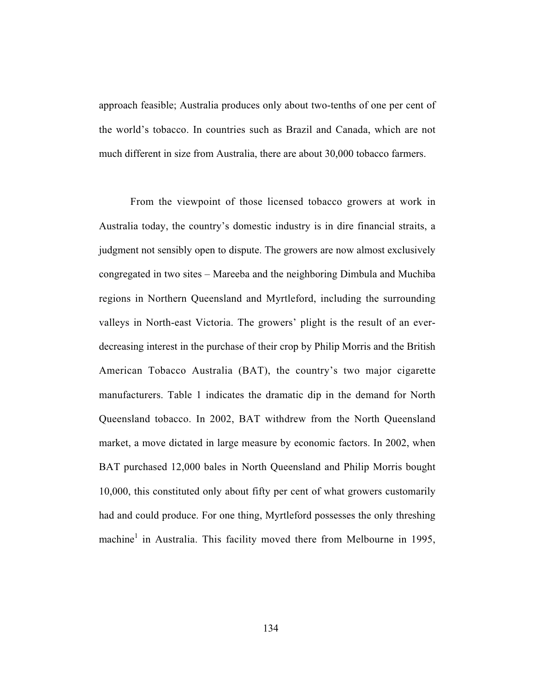approach feasible; Australia produces only about two-tenths of one per cent of the world's tobacco. In countries such as Brazil and Canada, which are not much different in size from Australia, there are about 30,000 tobacco farmers.

From the viewpoint of those licensed tobacco growers at work in Australia today, the country's domestic industry is in dire financial straits, a judgment not sensibly open to dispute. The growers are now almost exclusively congregated in two sites – Mareeba and the neighboring Dimbula and Muchiba regions in Northern Queensland and Myrtleford, including the surrounding valleys in North-east Victoria. The growers' plight is the result of an everdecreasing interest in the purchase of their crop by Philip Morris and the British American Tobacco Australia (BAT), the country's two major cigarette manufacturers. Table 1 indicates the dramatic dip in the demand for North Queensland tobacco. In 2002, BAT withdrew from the North Queensland market, a move dictated in large measure by economic factors. In 2002, when BAT purchased 12,000 bales in North Queensland and Philip Morris bought 10,000, this constituted only about fifty per cent of what growers customarily had and could produce. For one thing, Myrtleford possesses the only threshing machine<sup>1</sup> in Australia. This facility moved there from Melbourne in 1995,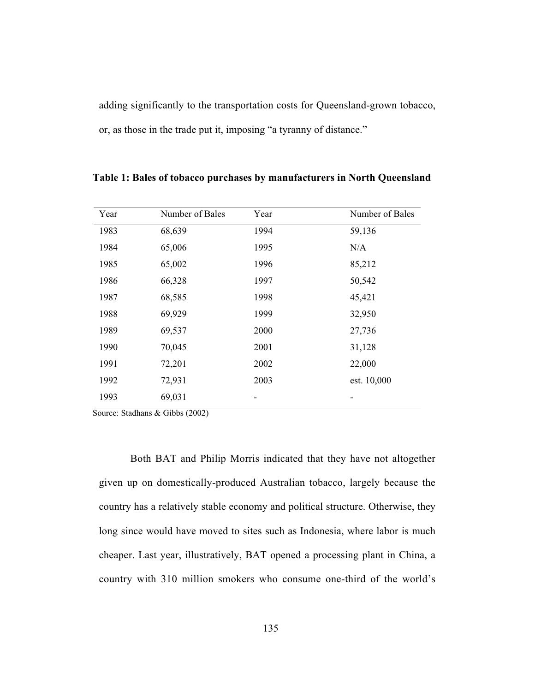adding significantly to the transportation costs for Queensland-grown tobacco, or, as those in the trade put it, imposing "a tyranny of distance."

| Year | Number of Bales | Year | Number of Bales |
|------|-----------------|------|-----------------|
| 1983 | 68,639          | 1994 | 59,136          |
| 1984 | 65,006          | 1995 | N/A             |
| 1985 | 65,002          | 1996 | 85,212          |
| 1986 | 66,328          | 1997 | 50,542          |
| 1987 | 68,585          | 1998 | 45,421          |
| 1988 | 69,929          | 1999 | 32,950          |
| 1989 | 69,537          | 2000 | 27,736          |
| 1990 | 70,045          | 2001 | 31,128          |
| 1991 | 72,201          | 2002 | 22,000          |
| 1992 | 72,931          | 2003 | est. 10,000     |
| 1993 | 69,031          |      |                 |

**Table 1: Bales of tobacco purchases by manufacturers in North Queensland**

Source: Stadhans & Gibbs (2002)

Both BAT and Philip Morris indicated that they have not altogether given up on domestically-produced Australian tobacco, largely because the country has a relatively stable economy and political structure. Otherwise, they long since would have moved to sites such as Indonesia, where labor is much cheaper. Last year, illustratively, BAT opened a processing plant in China, a country with 310 million smokers who consume one-third of the world's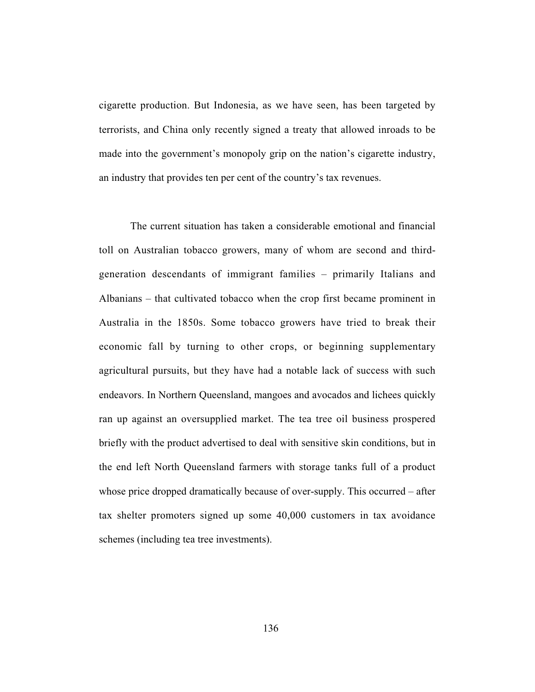cigarette production. But Indonesia, as we have seen, has been targeted by terrorists, and China only recently signed a treaty that allowed inroads to be made into the government's monopoly grip on the nation's cigarette industry, an industry that provides ten per cent of the country's tax revenues.

The current situation has taken a considerable emotional and financial toll on Australian tobacco growers, many of whom are second and thirdgeneration descendants of immigrant families – primarily Italians and Albanians – that cultivated tobacco when the crop first became prominent in Australia in the 1850s. Some tobacco growers have tried to break their economic fall by turning to other crops, or beginning supplementary agricultural pursuits, but they have had a notable lack of success with such endeavors. In Northern Queensland, mangoes and avocados and lichees quickly ran up against an oversupplied market. The tea tree oil business prospered briefly with the product advertised to deal with sensitive skin conditions, but in the end left North Queensland farmers with storage tanks full of a product whose price dropped dramatically because of over-supply. This occurred – after tax shelter promoters signed up some 40,000 customers in tax avoidance schemes (including tea tree investments).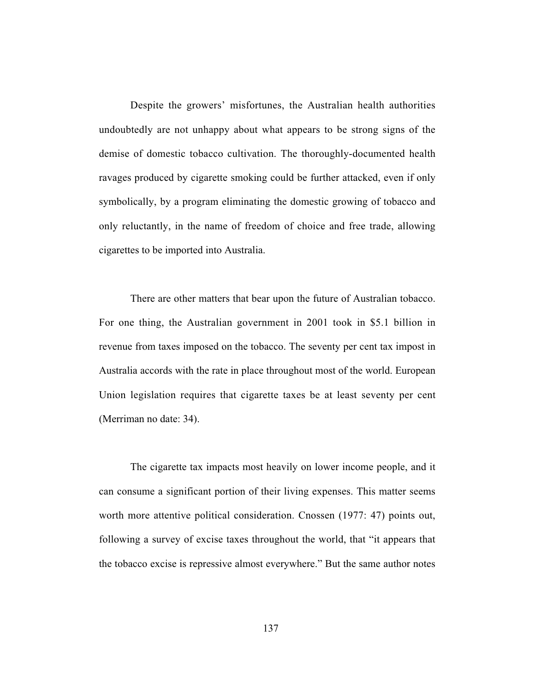Despite the growers' misfortunes, the Australian health authorities undoubtedly are not unhappy about what appears to be strong signs of the demise of domestic tobacco cultivation. The thoroughly-documented health ravages produced by cigarette smoking could be further attacked, even if only symbolically, by a program eliminating the domestic growing of tobacco and only reluctantly, in the name of freedom of choice and free trade, allowing cigarettes to be imported into Australia.

There are other matters that bear upon the future of Australian tobacco. For one thing, the Australian government in 2001 took in \$5.1 billion in revenue from taxes imposed on the tobacco. The seventy per cent tax impost in Australia accords with the rate in place throughout most of the world. European Union legislation requires that cigarette taxes be at least seventy per cent (Merriman no date: 34).

The cigarette tax impacts most heavily on lower income people, and it can consume a significant portion of their living expenses. This matter seems worth more attentive political consideration. Cnossen (1977: 47) points out, following a survey of excise taxes throughout the world, that "it appears that the tobacco excise is repressive almost everywhere." But the same author notes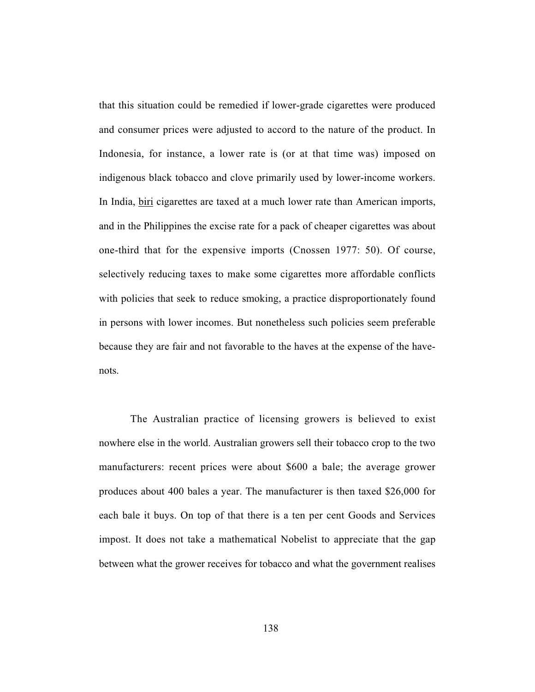that this situation could be remedied if lower-grade cigarettes were produced and consumer prices were adjusted to accord to the nature of the product. In Indonesia, for instance, a lower rate is (or at that time was) imposed on indigenous black tobacco and clove primarily used by lower-income workers. In India, biri cigarettes are taxed at a much lower rate than American imports, and in the Philippines the excise rate for a pack of cheaper cigarettes was about one-third that for the expensive imports (Cnossen 1977: 50). Of course, selectively reducing taxes to make some cigarettes more affordable conflicts with policies that seek to reduce smoking, a practice disproportionately found in persons with lower incomes. But nonetheless such policies seem preferable because they are fair and not favorable to the haves at the expense of the havenots.

The Australian practice of licensing growers is believed to exist nowhere else in the world. Australian growers sell their tobacco crop to the two manufacturers: recent prices were about \$600 a bale; the average grower produces about 400 bales a year. The manufacturer is then taxed \$26,000 for each bale it buys. On top of that there is a ten per cent Goods and Services impost. It does not take a mathematical Nobelist to appreciate that the gap between what the grower receives for tobacco and what the government realises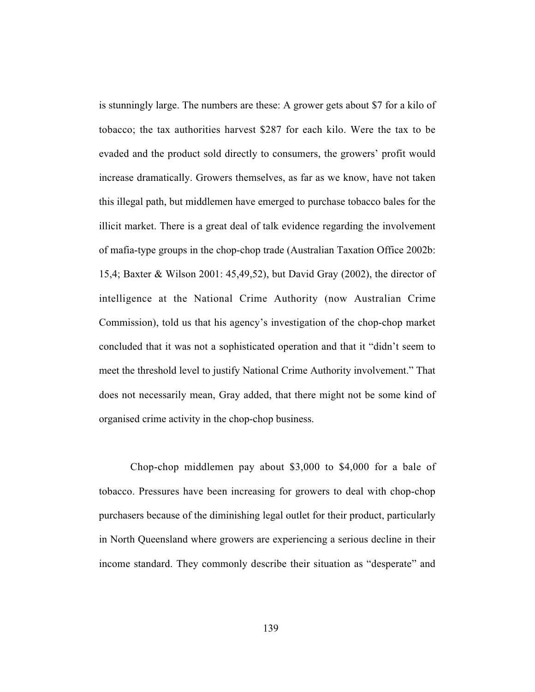is stunningly large. The numbers are these: A grower gets about \$7 for a kilo of tobacco; the tax authorities harvest \$287 for each kilo. Were the tax to be evaded and the product sold directly to consumers, the growers' profit would increase dramatically. Growers themselves, as far as we know, have not taken this illegal path, but middlemen have emerged to purchase tobacco bales for the illicit market. There is a great deal of talk evidence regarding the involvement of mafia-type groups in the chop-chop trade (Australian Taxation Office 2002b: 15,4; Baxter & Wilson 2001: 45,49,52), but David Gray (2002), the director of intelligence at the National Crime Authority (now Australian Crime Commission), told us that his agency's investigation of the chop-chop market concluded that it was not a sophisticated operation and that it "didn't seem to meet the threshold level to justify National Crime Authority involvement." That does not necessarily mean, Gray added, that there might not be some kind of organised crime activity in the chop-chop business.

Chop-chop middlemen pay about \$3,000 to \$4,000 for a bale of tobacco. Pressures have been increasing for growers to deal with chop-chop purchasers because of the diminishing legal outlet for their product, particularly in North Queensland where growers are experiencing a serious decline in their income standard. They commonly describe their situation as "desperate" and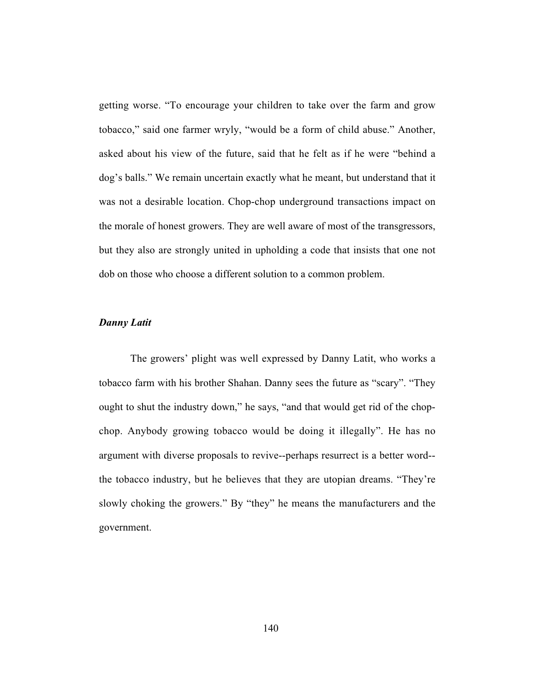getting worse. "To encourage your children to take over the farm and grow tobacco," said one farmer wryly, "would be a form of child abuse." Another, asked about his view of the future, said that he felt as if he were "behind a dog's balls." We remain uncertain exactly what he meant, but understand that it was not a desirable location. Chop-chop underground transactions impact on the morale of honest growers. They are well aware of most of the transgressors, but they also are strongly united in upholding a code that insists that one not dob on those who choose a different solution to a common problem.

#### *Danny Latit*

The growers' plight was well expressed by Danny Latit, who works a tobacco farm with his brother Shahan. Danny sees the future as "scary". "They ought to shut the industry down," he says, "and that would get rid of the chopchop. Anybody growing tobacco would be doing it illegally". He has no argument with diverse proposals to revive--perhaps resurrect is a better word- the tobacco industry, but he believes that they are utopian dreams. "They're slowly choking the growers." By "they" he means the manufacturers and the government.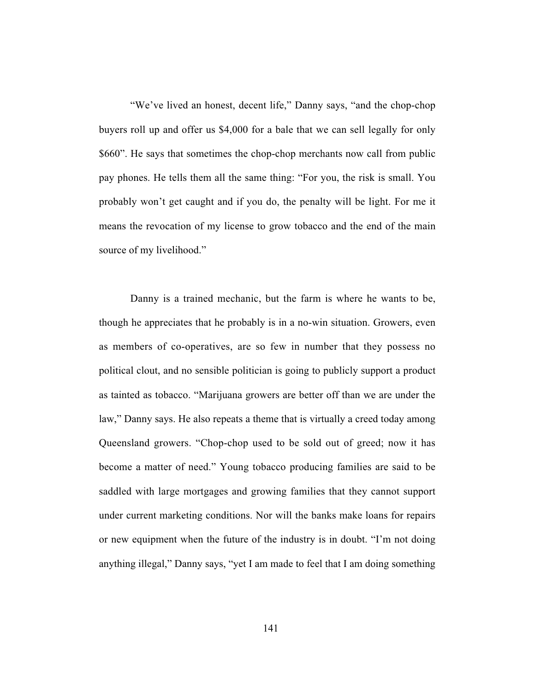"We've lived an honest, decent life," Danny says, "and the chop-chop buyers roll up and offer us \$4,000 for a bale that we can sell legally for only \$660". He says that sometimes the chop-chop merchants now call from public pay phones. He tells them all the same thing: "For you, the risk is small. You probably won't get caught and if you do, the penalty will be light. For me it means the revocation of my license to grow tobacco and the end of the main source of my livelihood."

Danny is a trained mechanic, but the farm is where he wants to be, though he appreciates that he probably is in a no-win situation. Growers, even as members of co-operatives, are so few in number that they possess no political clout, and no sensible politician is going to publicly support a product as tainted as tobacco. "Marijuana growers are better off than we are under the law," Danny says. He also repeats a theme that is virtually a creed today among Queensland growers. "Chop-chop used to be sold out of greed; now it has become a matter of need." Young tobacco producing families are said to be saddled with large mortgages and growing families that they cannot support under current marketing conditions. Nor will the banks make loans for repairs or new equipment when the future of the industry is in doubt. "I'm not doing anything illegal," Danny says, "yet I am made to feel that I am doing something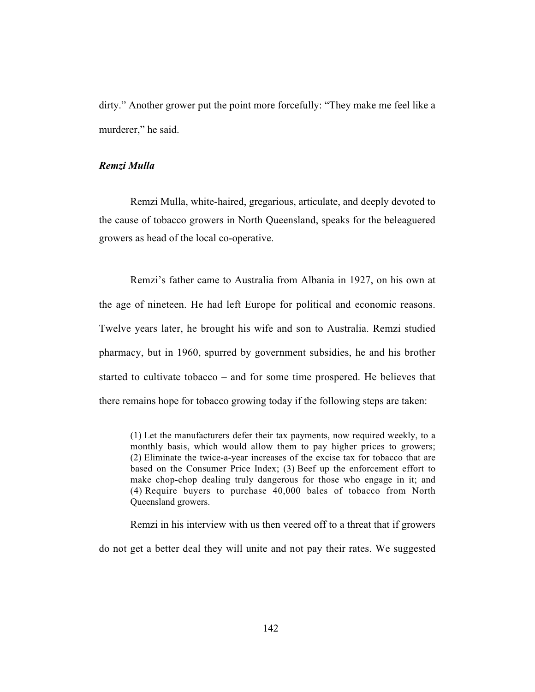dirty." Another grower put the point more forcefully: "They make me feel like a murderer," he said.

#### *Remzi Mulla*

Remzi Mulla, white-haired, gregarious, articulate, and deeply devoted to the cause of tobacco growers in North Queensland, speaks for the beleaguered growers as head of the local co-operative.

Remzi's father came to Australia from Albania in 1927, on his own at the age of nineteen. He had left Europe for political and economic reasons. Twelve years later, he brought his wife and son to Australia. Remzi studied pharmacy, but in 1960, spurred by government subsidies, he and his brother started to cultivate tobacco – and for some time prospered. He believes that there remains hope for tobacco growing today if the following steps are taken:

(1) Let the manufacturers defer their tax payments, now required weekly, to a monthly basis, which would allow them to pay higher prices to growers; (2) Eliminate the twice-a-year increases of the excise tax for tobacco that are based on the Consumer Price Index; (3) Beef up the enforcement effort to make chop-chop dealing truly dangerous for those who engage in it; and (4) Require buyers to purchase 40,000 bales of tobacco from North Queensland growers.

Remzi in his interview with us then veered off to a threat that if growers do not get a better deal they will unite and not pay their rates. We suggested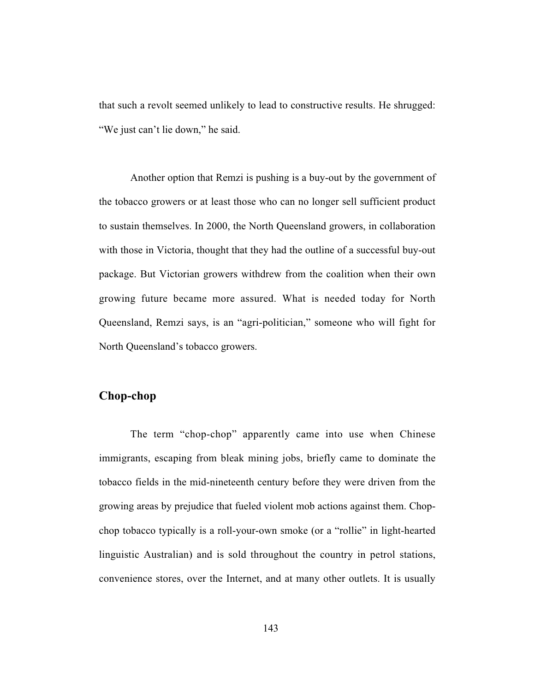that such a revolt seemed unlikely to lead to constructive results. He shrugged: "We just can't lie down," he said.

Another option that Remzi is pushing is a buy-out by the government of the tobacco growers or at least those who can no longer sell sufficient product to sustain themselves. In 2000, the North Queensland growers, in collaboration with those in Victoria, thought that they had the outline of a successful buy-out package. But Victorian growers withdrew from the coalition when their own growing future became more assured. What is needed today for North Queensland, Remzi says, is an "agri-politician," someone who will fight for North Queensland's tobacco growers.

# **Chop-chop**

The term "chop-chop" apparently came into use when Chinese immigrants, escaping from bleak mining jobs, briefly came to dominate the tobacco fields in the mid-nineteenth century before they were driven from the growing areas by prejudice that fueled violent mob actions against them. Chopchop tobacco typically is a roll-your-own smoke (or a "rollie" in light-hearted linguistic Australian) and is sold throughout the country in petrol stations, convenience stores, over the Internet, and at many other outlets. It is usually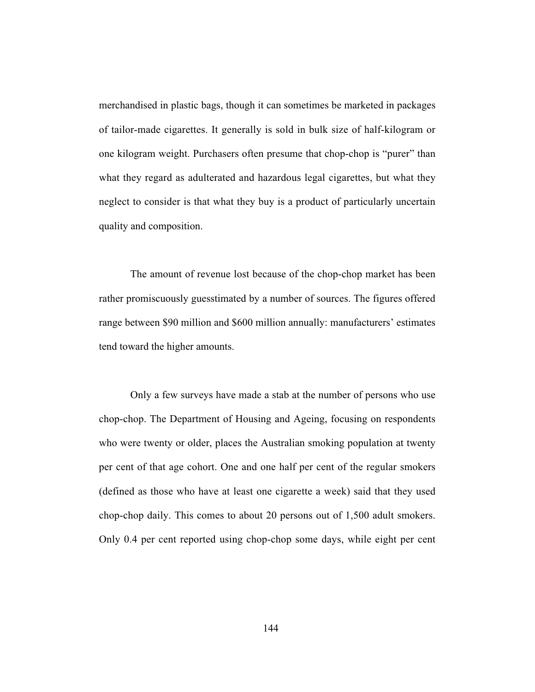merchandised in plastic bags, though it can sometimes be marketed in packages of tailor-made cigarettes. It generally is sold in bulk size of half-kilogram or one kilogram weight. Purchasers often presume that chop-chop is "purer" than what they regard as adulterated and hazardous legal cigarettes, but what they neglect to consider is that what they buy is a product of particularly uncertain quality and composition.

The amount of revenue lost because of the chop-chop market has been rather promiscuously guesstimated by a number of sources. The figures offered range between \$90 million and \$600 million annually: manufacturers' estimates tend toward the higher amounts.

Only a few surveys have made a stab at the number of persons who use chop-chop. The Department of Housing and Ageing, focusing on respondents who were twenty or older, places the Australian smoking population at twenty per cent of that age cohort. One and one half per cent of the regular smokers (defined as those who have at least one cigarette a week) said that they used chop-chop daily. This comes to about 20 persons out of 1,500 adult smokers. Only 0.4 per cent reported using chop-chop some days, while eight per cent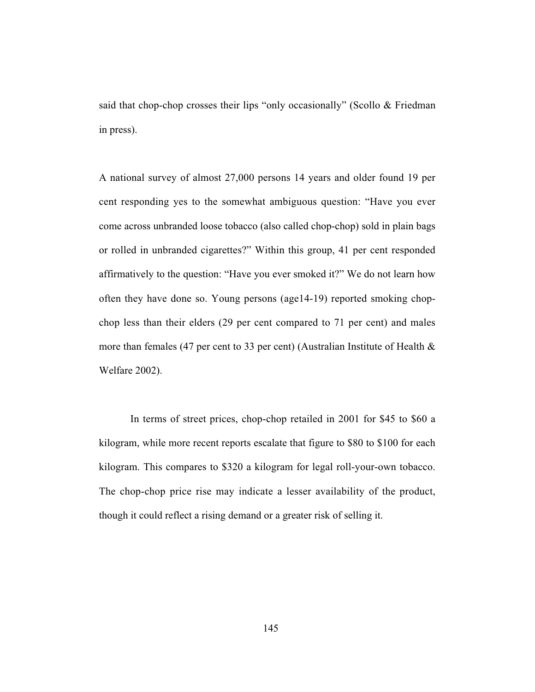said that chop-chop crosses their lips "only occasionally" (Scollo & Friedman in press).

A national survey of almost 27,000 persons 14 years and older found 19 per cent responding yes to the somewhat ambiguous question: "Have you ever come across unbranded loose tobacco (also called chop-chop) sold in plain bags or rolled in unbranded cigarettes?" Within this group, 41 per cent responded affirmatively to the question: "Have you ever smoked it?" We do not learn how often they have done so. Young persons (age14-19) reported smoking chopchop less than their elders (29 per cent compared to 71 per cent) and males more than females (47 per cent to 33 per cent) (Australian Institute of Health & Welfare 2002).

In terms of street prices, chop-chop retailed in 2001 for \$45 to \$60 a kilogram, while more recent reports escalate that figure to \$80 to \$100 for each kilogram. This compares to \$320 a kilogram for legal roll-your-own tobacco. The chop-chop price rise may indicate a lesser availability of the product, though it could reflect a rising demand or a greater risk of selling it.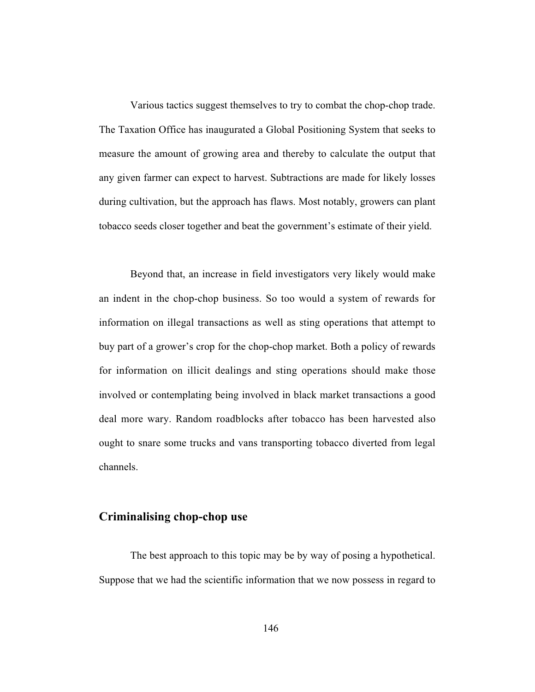Various tactics suggest themselves to try to combat the chop-chop trade. The Taxation Office has inaugurated a Global Positioning System that seeks to measure the amount of growing area and thereby to calculate the output that any given farmer can expect to harvest. Subtractions are made for likely losses during cultivation, but the approach has flaws. Most notably, growers can plant tobacco seeds closer together and beat the government's estimate of their yield.

Beyond that, an increase in field investigators very likely would make an indent in the chop-chop business. So too would a system of rewards for information on illegal transactions as well as sting operations that attempt to buy part of a grower's crop for the chop-chop market. Both a policy of rewards for information on illicit dealings and sting operations should make those involved or contemplating being involved in black market transactions a good deal more wary. Random roadblocks after tobacco has been harvested also ought to snare some trucks and vans transporting tobacco diverted from legal channels.

### **Criminalising chop-chop use**

The best approach to this topic may be by way of posing a hypothetical. Suppose that we had the scientific information that we now possess in regard to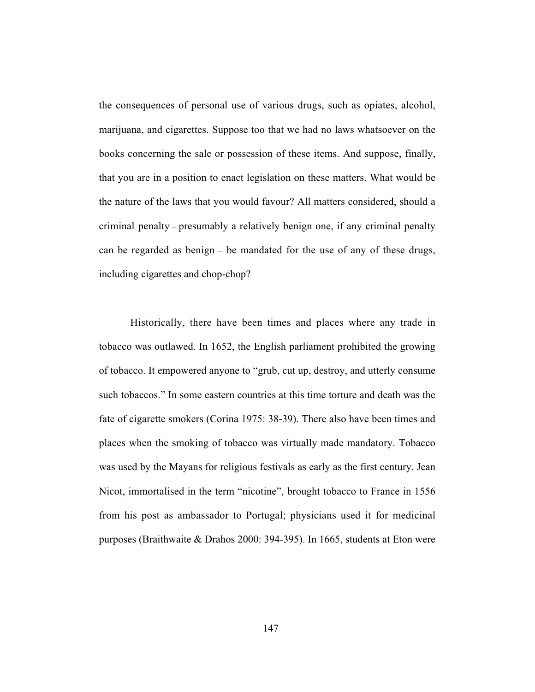the consequences of personal use of various drugs, such as opiates, alcohol, marijuana, and cigarettes. Suppose too that we had no laws whatsoever on the books concerning the sale or possession of these items. And suppose, finally, that you are in a position to enact legislation on these matters. What would be the nature of the laws that you would favour? All matters considered, should a criminal penalty – presumably a relatively benign one, if any criminal penalty can be regarded as benign – be mandated for the use of any of these drugs, including cigarettes and chop-chop?

Historically, there have been times and places where any trade in tobacco was outlawed. In 1652, the English parliament prohibited the growing of tobacco. It empowered anyone to "grub, cut up, destroy, and utterly consume such tobaccos." In some eastern countries at this time torture and death was the fate of cigarette smokers (Corina 1975: 38-39). There also have been times and places when the smoking of tobacco was virtually made mandatory. Tobacco was used by the Mayans for religious festivals as early as the first century. Jean Nicot, immortalised in the term "nicotine", brought tobacco to France in 1556 from his post as ambassador to Portugal; physicians used it for medicinal purposes (Braithwaite & Drahos 2000: 394-395). In 1665, students at Eton were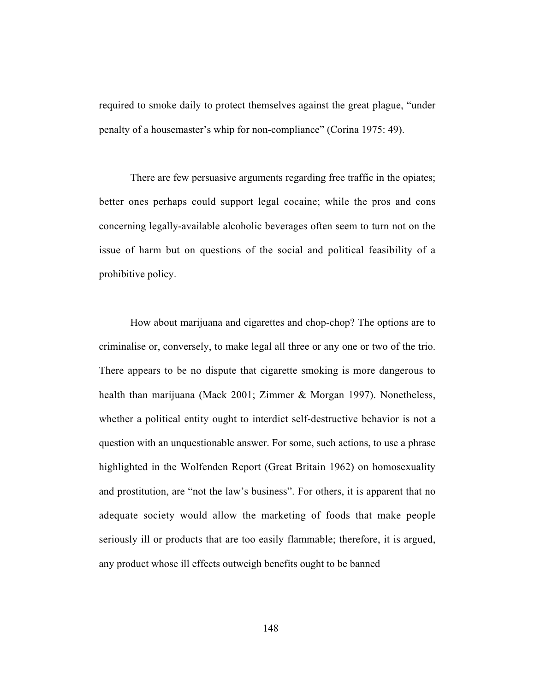required to smoke daily to protect themselves against the great plague, "under penalty of a housemaster's whip for non-compliance" (Corina 1975: 49).

There are few persuasive arguments regarding free traffic in the opiates; better ones perhaps could support legal cocaine; while the pros and cons concerning legally-available alcoholic beverages often seem to turn not on the issue of harm but on questions of the social and political feasibility of a prohibitive policy.

How about marijuana and cigarettes and chop-chop? The options are to criminalise or, conversely, to make legal all three or any one or two of the trio. There appears to be no dispute that cigarette smoking is more dangerous to health than marijuana (Mack 2001; Zimmer & Morgan 1997). Nonetheless, whether a political entity ought to interdict self-destructive behavior is not a question with an unquestionable answer. For some, such actions, to use a phrase highlighted in the Wolfenden Report (Great Britain 1962) on homosexuality and prostitution, are "not the law's business". For others, it is apparent that no adequate society would allow the marketing of foods that make people seriously ill or products that are too easily flammable; therefore, it is argued, any product whose ill effects outweigh benefits ought to be banned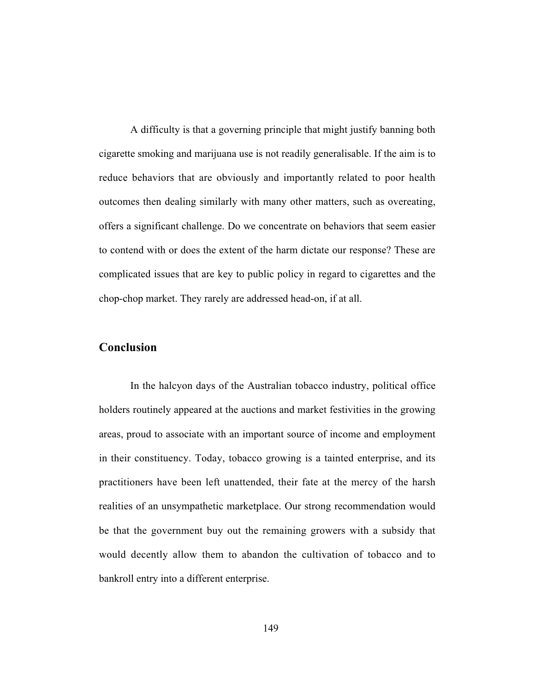A difficulty is that a governing principle that might justify banning both cigarette smoking and marijuana use is not readily generalisable. If the aim is to reduce behaviors that are obviously and importantly related to poor health outcomes then dealing similarly with many other matters, such as overeating, offers a significant challenge. Do we concentrate on behaviors that seem easier to contend with or does the extent of the harm dictate our response? These are complicated issues that are key to public policy in regard to cigarettes and the chop-chop market. They rarely are addressed head-on, if at all.

## **Conclusion**

In the halcyon days of the Australian tobacco industry, political office holders routinely appeared at the auctions and market festivities in the growing areas, proud to associate with an important source of income and employment in their constituency. Today, tobacco growing is a tainted enterprise, and its practitioners have been left unattended, their fate at the mercy of the harsh realities of an unsympathetic marketplace. Our strong recommendation would be that the government buy out the remaining growers with a subsidy that would decently allow them to abandon the cultivation of tobacco and to bankroll entry into a different enterprise.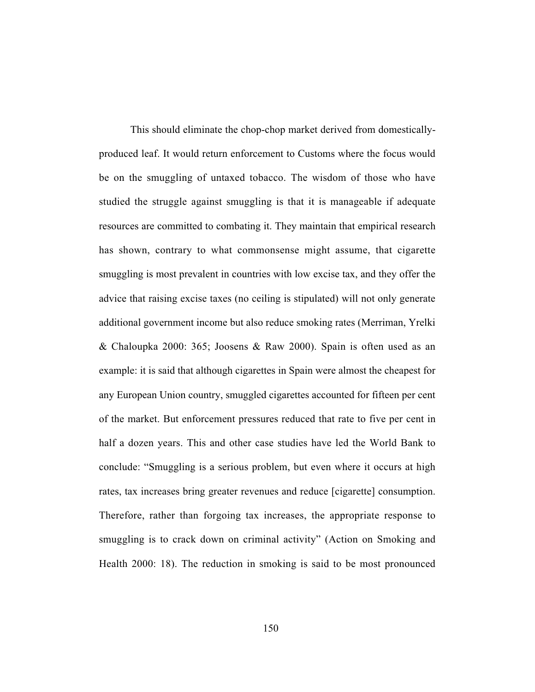This should eliminate the chop-chop market derived from domesticallyproduced leaf. It would return enforcement to Customs where the focus would be on the smuggling of untaxed tobacco. The wisdom of those who have studied the struggle against smuggling is that it is manageable if adequate resources are committed to combating it. They maintain that empirical research has shown, contrary to what commonsense might assume, that cigarette smuggling is most prevalent in countries with low excise tax, and they offer the advice that raising excise taxes (no ceiling is stipulated) will not only generate additional government income but also reduce smoking rates (Merriman, Yrelki & Chaloupka 2000: 365; Joosens & Raw 2000). Spain is often used as an example: it is said that although cigarettes in Spain were almost the cheapest for any European Union country, smuggled cigarettes accounted for fifteen per cent of the market. But enforcement pressures reduced that rate to five per cent in half a dozen years. This and other case studies have led the World Bank to conclude: "Smuggling is a serious problem, but even where it occurs at high rates, tax increases bring greater revenues and reduce [cigarette] consumption. Therefore, rather than forgoing tax increases, the appropriate response to smuggling is to crack down on criminal activity" (Action on Smoking and Health 2000: 18). The reduction in smoking is said to be most pronounced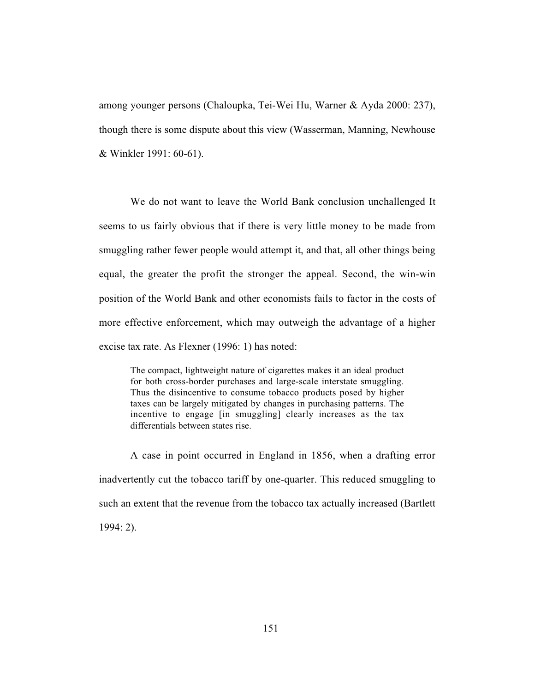among younger persons (Chaloupka, Tei-Wei Hu, Warner & Ayda 2000: 237), though there is some dispute about this view (Wasserman, Manning, Newhouse & Winkler 1991: 60-61).

We do not want to leave the World Bank conclusion unchallenged It seems to us fairly obvious that if there is very little money to be made from smuggling rather fewer people would attempt it, and that, all other things being equal, the greater the profit the stronger the appeal. Second, the win-win position of the World Bank and other economists fails to factor in the costs of more effective enforcement, which may outweigh the advantage of a higher excise tax rate. As Flexner (1996: 1) has noted:

The compact, lightweight nature of cigarettes makes it an ideal product for both cross-border purchases and large-scale interstate smuggling. Thus the disincentive to consume tobacco products posed by higher taxes can be largely mitigated by changes in purchasing patterns. The incentive to engage [in smuggling] clearly increases as the tax differentials between states rise.

A case in point occurred in England in 1856, when a drafting error inadvertently cut the tobacco tariff by one-quarter. This reduced smuggling to such an extent that the revenue from the tobacco tax actually increased (Bartlett 1994: 2).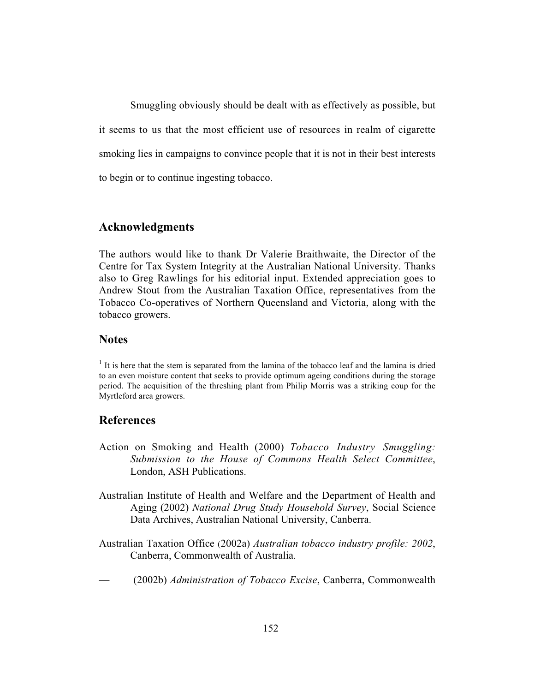Smuggling obviously should be dealt with as effectively as possible, but it seems to us that the most efficient use of resources in realm of cigarette smoking lies in campaigns to convince people that it is not in their best interests to begin or to continue ingesting tobacco.

### **Acknowledgments**

The authors would like to thank Dr Valerie Braithwaite, the Director of the Centre for Tax System Integrity at the Australian National University. Thanks also to Greg Rawlings for his editorial input. Extended appreciation goes to Andrew Stout from the Australian Taxation Office, representatives from the Tobacco Co-operatives of Northern Queensland and Victoria, along with the tobacco growers.

## **Notes**

 $<sup>1</sup>$  It is here that the stem is separated from the lamina of the tobacco leaf and the lamina is dried</sup> to an even moisture content that seeks to provide optimum ageing conditions during the storage period. The acquisition of the threshing plant from Philip Morris was a striking coup for the Myrtleford area growers.

### **References**

- Action on Smoking and Health (2000) *Tobacco Industry Smuggling: Submission to the House of Commons Health Select Committee*, London, ASH Publications.
- Australian Institute of Health and Welfare and the Department of Health and Aging (2002) *National Drug Study Household Survey*, Social Science Data Archives, Australian National University, Canberra.
- Australian Taxation Office (2002a) *Australian tobacco industry profile: 2002*, Canberra, Commonwealth of Australia.
- (2002b) *Administration of Tobacco Excise*, Canberra, Commonwealth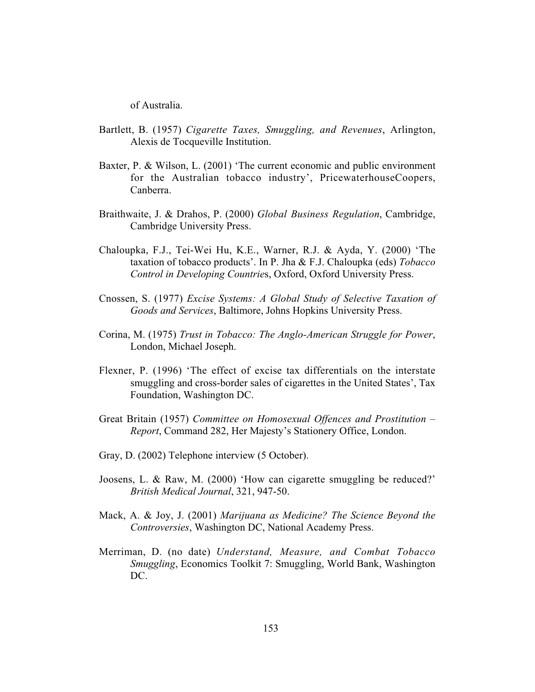of Australia.

- Bartlett, B. (1957) *Cigarette Taxes, Smuggling, and Revenues*, Arlington, Alexis de Tocqueville Institution.
- Baxter, P. & Wilson, L. (2001) 'The current economic and public environment for the Australian tobacco industry', PricewaterhouseCoopers, Canberra.
- Braithwaite, J. & Drahos, P. (2000) *Global Business Regulation*, Cambridge, Cambridge University Press.
- Chaloupka, F.J., Tei-Wei Hu, K.E., Warner, R.J. & Ayda, Y. (2000) 'The taxation of tobacco products'. In P. Jha & F.J. Chaloupka (eds) *Tobacco Control in Developing Countrie*s, Oxford, Oxford University Press.
- Cnossen, S. (1977) *Excise Systems: A Global Study of Selective Taxation of Goods and Services*, Baltimore, Johns Hopkins University Press.
- Corina, M. (1975) *Trust in Tobacco: The Anglo-American Struggle for Power*, London, Michael Joseph.
- Flexner, P. (1996) 'The effect of excise tax differentials on the interstate smuggling and cross-border sales of cigarettes in the United States', Tax Foundation, Washington DC.
- Great Britain (1957) *Committee on Homosexual Offences and Prostitution Report*, Command 282, Her Majesty's Stationery Office, London.
- Gray, D. (2002) Telephone interview (5 October).
- Joosens, L. & Raw, M. (2000) 'How can cigarette smuggling be reduced?' *British Medical Journal*, 321, 947-50.
- Mack, A. & Joy, J. (2001) *Marijuana as Medicine? The Science Beyond the Controversies*, Washington DC, National Academy Press.
- Merriman, D. (no date) *Understand, Measure, and Combat Tobacco Smuggling*, Economics Toolkit 7: Smuggling, World Bank, Washington DC.